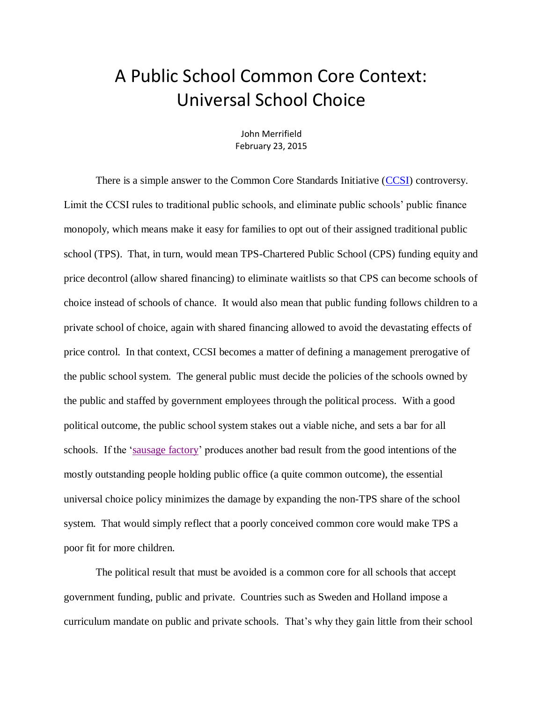## A Public School Common Core Context: Universal School Choice

John Merrifield February 23, 2015

There is a simple answer to the Common Core Standards Initiative [\(CCSI\)](http://nebula.wsimg.com/b280b1815e04da54f1d639cd589f350a?AccessKeyId=DA21FC8554A675E9CF7B&disposition=0&alloworigin=1) controversy. Limit the CCSI rules to traditional public schools, and eliminate public schools' public finance monopoly, which means make it easy for families to opt out of their assigned traditional public school (TPS). That, in turn, would mean TPS-Chartered Public School (CPS) funding equity and price decontrol (allow shared financing) to eliminate waitlists so that CPS can become schools of choice instead of schools of chance. It would also mean that public funding follows children to a private school of choice, again with shared financing allowed to avoid the devastating effects of price control. In that context, CCSI becomes a matter of defining a management prerogative of the public school system. The general public must decide the policies of the schools owned by the public and staffed by government employees through the political process. With a good political outcome, the public school system stakes out a viable niche, and sets a bar for all schools. If the ['sausage factory'](http://www.schoolsystemreformstudies.net/wp-content/uploads/2017/02/Re-Staffing-the-Sausage-Factory.pdf) produces another bad result from the good intentions of the mostly outstanding people holding public office (a quite common outcome), the essential universal choice policy minimizes the damage by expanding the non-TPS share of the school system. That would simply reflect that a poorly conceived common core would make TPS a poor fit for more children.

The political result that must be avoided is a common core for all schools that accept government funding, public and private. Countries such as Sweden and Holland impose a curriculum mandate on public and private schools. That's why they gain little from their school